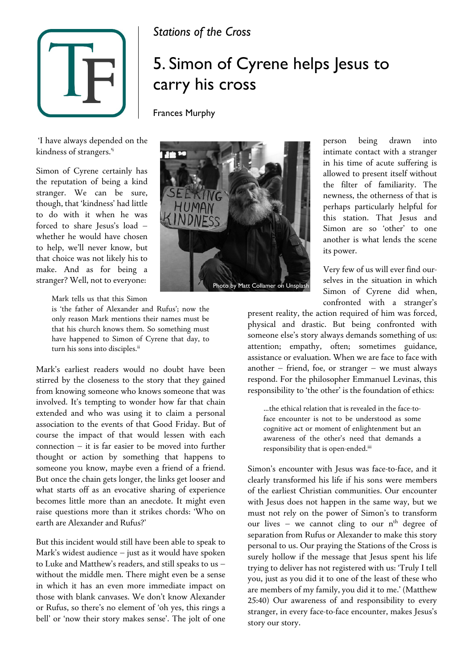

## *Stations of the Cross*

## 5. Simon of Cyrene helps Jesus to carry his cross

Frances Murphy

'I have always depended on the kindness of strangers.'i

Simon of Cyrene certainly has the reputation of being a kind stranger. We can be sure, though, that 'kindness' had little to do with it when he was forced to share Jesus's load – whether he would have chosen to help, we'll never know, but that choice was not likely his to make. And as for being a stranger? Well, not to everyone:

Mark tells us that this Simon

is 'the father of Alexander and Rufus'; now the only reason Mark mentions their names must be that his church knows them. So something must have happened to Simon of Cyrene that day, to turn his sons into disciples.<sup>ii</sup>

Mark's earliest readers would no doubt have been stirred by the closeness to the story that they gained from knowing someone who knows someone that was involved. It's tempting to wonder how far that chain extended and who was using it to claim a personal association to the events of that Good Friday. But of course the impact of that would lessen with each connection – it is far easier to be moved into further thought or action by something that happens to someone you know, maybe even a friend of a friend. But once the chain gets longer, the links get looser and what starts off as an evocative sharing of experience becomes little more than an anecdote. It might even raise questions more than it strikes chords: 'Who on earth are Alexander and Rufus?'

But this incident would still have been able to speak to Mark's widest audience – just as it would have spoken to Luke and Matthew's readers, and still speaks to us – without the middle men. There might even be a sense in which it has an even more immediate impact on those with blank canvases. We don't know Alexander or Rufus, so there's no element of 'oh yes, this rings a bell' or 'now their story makes sense'. The jolt of one



person being drawn into intimate contact with a stranger in his time of acute suffering is allowed to present itself without the filter of familiarity. The newness, the otherness of that is perhaps particularly helpful for this station. That Jesus and Simon are so 'other' to one another is what lends the scene its power.

Very few of us will ever find ourselves in the situation in which Simon of Cyrene did when, confronted with a stranger's

present reality, the action required of him was forced, physical and drastic. But being confronted with someone else's story always demands something of us: attention; empathy, often; sometimes guidance, assistance or evaluation. When we are face to face with another – friend, foe, or stranger – we must always respond. For the philosopher Emmanuel Levinas, this responsibility to 'the other' is the foundation of ethics:

…the ethical relation that is revealed in the face-toface encounter is not to be understood as some cognitive act or moment of enlightenment but an awareness of the other's need that demands a responsibility that is open-ended.iii

Simon's encounter with Jesus was face-to-face, and it clearly transformed his life if his sons were members of the earliest Christian communities. Our encounter with Jesus does not happen in the same way, but we must not rely on the power of Simon's to transform our lives - we cannot cling to our n<sup>th</sup> degree of separation from Rufus or Alexander to make this story personal to us. Our praying the Stations of the Cross is surely hollow if the message that Jesus spent his life trying to deliver has not registered with us: 'Truly I tell you, just as you did it to one of the least of these who are members of my family, you did it to me.' (Matthew 25:40) Our awareness of and responsibility to every stranger, in every face-to-face encounter, makes Jesus's story our story.